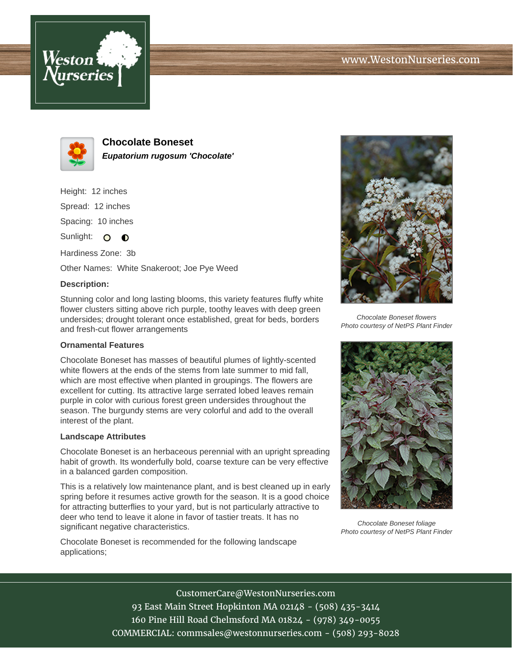



**Chocolate Boneset Eupatorium rugosum 'Chocolate'**

Height: 12 inches

Spread: 12 inches

Spacing: 10 inches

Sunlight:  $\circ$   $\bullet$ 

Hardiness Zone: 3b

Other Names: White Snakeroot; Joe Pye Weed

## **Description:**

Stunning color and long lasting blooms, this variety features fluffy white flower clusters sitting above rich purple, toothy leaves with deep green undersides; drought tolerant once established, great for beds, borders and fresh-cut flower arrangements

## **Ornamental Features**

Chocolate Boneset has masses of beautiful plumes of lightly-scented white flowers at the ends of the stems from late summer to mid fall, which are most effective when planted in groupings. The flowers are excellent for cutting. Its attractive large serrated lobed leaves remain purple in color with curious forest green undersides throughout the season. The burgundy stems are very colorful and add to the overall interest of the plant.

## **Landscape Attributes**

Chocolate Boneset is an herbaceous perennial with an upright spreading habit of growth. Its wonderfully bold, coarse texture can be very effective in a balanced garden composition.

This is a relatively low maintenance plant, and is best cleaned up in early spring before it resumes active growth for the season. It is a good choice for attracting butterflies to your yard, but is not particularly attractive to deer who tend to leave it alone in favor of tastier treats. It has no significant negative characteristics.

Chocolate Boneset is recommended for the following landscape applications;



Chocolate Boneset flowers Photo courtesy of NetPS Plant Finder



Chocolate Boneset foliage Photo courtesy of NetPS Plant Finder

CustomerCare@WestonNurseries.com

93 East Main Street Hopkinton MA 02148 - (508) 435-3414 160 Pine Hill Road Chelmsford MA 01824 - (978) 349-0055 COMMERCIAL: commsales@westonnurseries.com - (508) 293-8028